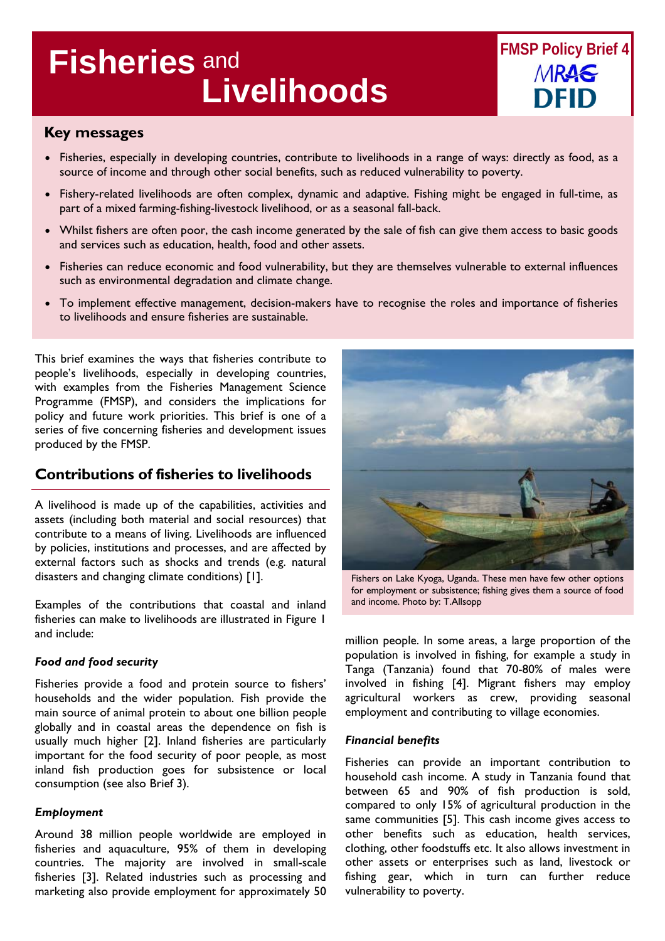# **Livelihoods Fisheries** and



## **Key messages**

- Fisheries, especially in developing countries, contribute to livelihoods in a range of ways: directly as food, as a source of income and through other social benefits, such as reduced vulnerability to poverty.
- Fishery-related livelihoods are often complex, dynamic and adaptive. Fishing might be engaged in full-time, as part of a mixed farming-fishing-livestock livelihood, or as a seasonal fall-back.
- Whilst fishers are often poor, the cash income generated by the sale of fish can give them access to basic goods and services such as education, health, food and other assets.
- Fisheries can reduce economic and food vulnerability, but they are themselves vulnerable to external influences such as environmental degradation and climate change.
- To implement effective management, decision-makers have to recognise the roles and importance of fisheries to livelihoods and ensure fisheries are sustainable.

This brief examines the ways that fisheries contribute to people's livelihoods, especially in developing countries, with examples from the Fisheries Management Science Programme (FMSP), and considers the implications for policy and future work priorities. This brief is one of a series of five concerning fisheries and development issues produced by the FMSP.

## **Contributions of fisheries to livelihoods**

A livelihood is made up of the capabilities, activities and assets (including both material and social resources) that contribute to a means of living. Livelihoods are influenced by policies, institutions and processes, and are affected by external factors such as shocks and trends (e.g. natural disasters and changing climate conditions) [1].

Examples of the contributions that coastal and inland fisheries can make to livelihoods are illustrated in Figure 1 and include:

#### *Food and food security*

Fisheries provide a food and protein source to fishers' households and the wider population. Fish provide the main source of animal protein to about one billion people globally and in coastal areas the dependence on fish is usually much higher [2]. Inland fisheries are particularly important for the food security of poor people, as most inland fish production goes for subsistence or local consumption (see also Brief 3).

## *Employment*

Around 38 million people worldwide are employed in fisheries and aquaculture, 95% of them in developing countries. The majority are involved in small-scale fisheries [3]. Related industries such as processing and marketing also provide employment for approximately 50



Fishers on Lake Kyoga, Uganda. These men have few other options for employment or subsistence; fishing gives them a source of food and income. Photo by: T.Allsopp

million people. In some areas, a large proportion of the population is involved in fishing, for example a study in Tanga (Tanzania) found that 70-80% of males were involved in fishing [4]. Migrant fishers may employ agricultural workers as crew, providing seasonal employment and contributing to village economies.

#### *Financial benefits*

Fisheries can provide an important contribution to household cash income. A study in Tanzania found that between 65 and 90% of fish production is sold, compared to only 15% of agricultural production in the same communities [5]. This cash income gives access to other benefits such as education, health services, clothing, other foodstuffs etc. It also allows investment in other assets or enterprises such as land, livestock or fishing gear, which in turn can further reduce vulnerability to poverty.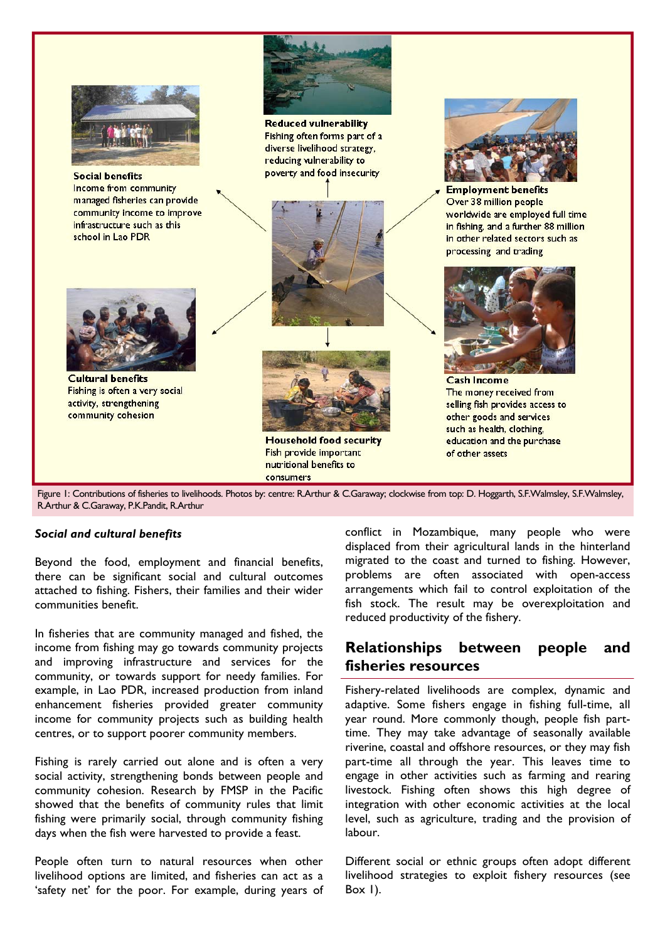

Figure 1: Contributions of fisheries to livelihoods. Photos by: centre: R.Arthur & C.Garaway; clockwise from top: D. Hoggarth, S.F.Walmsley, S.F.Walmsley, R.Arthur & C.Garaway, P.K.Pandit, R.Arthur

#### *Social and cultural benefits*

Beyond the food, employment and financial benefits, there can be significant social and cultural outcomes attached to fishing. Fishers, their families and their wider communities benefit.

In fisheries that are community managed and fished, the income from fishing may go towards community projects and improving infrastructure and services for the community, or towards support for needy families. For example, in Lao PDR, increased production from inland enhancement fisheries provided greater community income for community projects such as building health centres, or to support poorer community members.

Fishing is rarely carried out alone and is often a very social activity, strengthening bonds between people and community cohesion. Research by FMSP in the Pacific showed that the benefits of community rules that limit fishing were primarily social, through community fishing days when the fish were harvested to provide a feast.

People often turn to natural resources when other livelihood options are limited, and fisheries can act as a 'safety net' for the poor. For example, during years of

conflict in Mozambique, many people who were displaced from their agricultural lands in the hinterland migrated to the coast and turned to fishing. However, problems are often associated with open-access arrangements which fail to control exploitation of the fish stock. The result may be overexploitation and reduced productivity of the fishery.

## **Relationships between people and fisheries resources**

Fishery-related livelihoods are complex, dynamic and adaptive. Some fishers engage in fishing full-time, all year round. More commonly though, people fish parttime. They may take advantage of seasonally available riverine, coastal and offshore resources, or they may fish part-time all through the year. This leaves time to engage in other activities such as farming and rearing livestock. Fishing often shows this high degree of integration with other economic activities at the local level, such as agriculture, trading and the provision of labour.

Different social or ethnic groups often adopt different livelihood strategies to exploit fishery resources (see Box  $I$ ).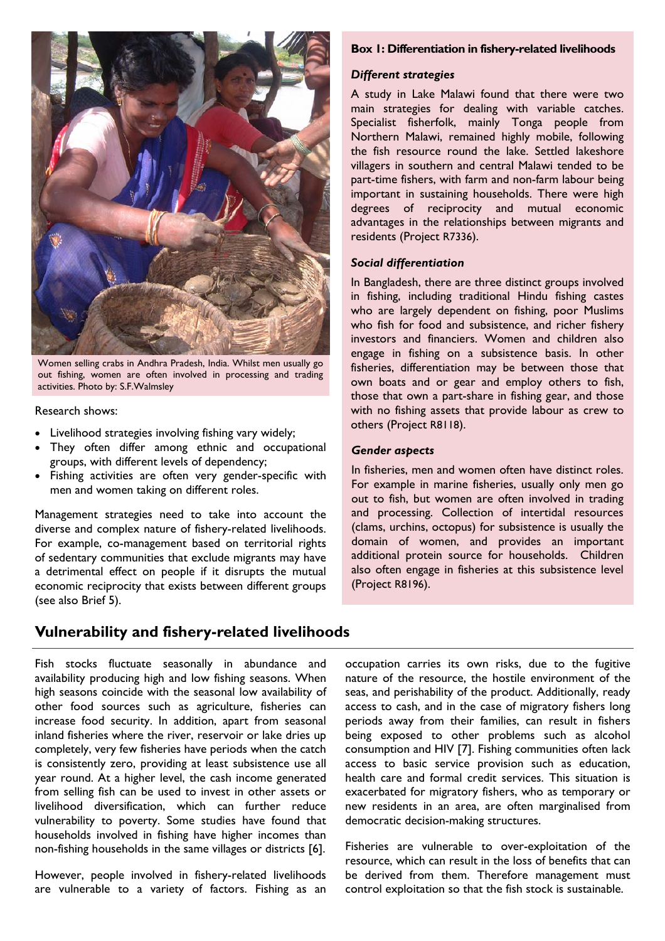

Women selling crabs in Andhra Pradesh, India. Whilst men usually go out fishing, women are often involved in processing and trading activities. Photo by: S.F.Walmsley

#### Research shows:

- Livelihood strategies involving fishing vary widely;
- They often differ among ethnic and occupational groups, with different levels of dependency;
- Fishing activities are often very gender-specific with men and women taking on different roles.

Management strategies need to take into account the diverse and complex nature of fishery-related livelihoods. For example, co-management based on territorial rights of sedentary communities that exclude migrants may have a detrimental effect on people if it disrupts the mutual economic reciprocity that exists between different groups (see also Brief 5).

#### **Box 1: Differentiation in fishery-related livelihoods**

#### *Different strategies*

A study in Lake Malawi found that there were two main strategies for dealing with variable catches. Specialist fisherfolk, mainly Tonga people from Northern Malawi, remained highly mobile, following the fish resource round the lake. Settled lakeshore villagers in southern and central Malawi tended to be part-time fishers, with farm and non-farm labour being important in sustaining households. There were high degrees of reciprocity and mutual economic advantages in the relationships between migrants and residents (Project R7336).

#### *Social differentiation*

In Bangladesh, there are three distinct groups involved in fishing, including traditional Hindu fishing castes who are largely dependent on fishing, poor Muslims who fish for food and subsistence, and richer fishery investors and financiers. Women and children also engage in fishing on a subsistence basis. In other fisheries, differentiation may be between those that own boats and or gear and employ others to fish, those that own a part-share in fishing gear, and those with no fishing assets that provide labour as crew to others (Project R8118).

#### *Gender aspects*

In fisheries, men and women often have distinct roles. For example in marine fisheries, usually only men go out to fish, but women are often involved in trading and processing. Collection of intertidal resources (clams, urchins, octopus) for subsistence is usually the domain of women, and provides an important additional protein source for households. Children also often engage in fisheries at this subsistence level (Project R8196).

## **Vulnerability and fishery-related livelihoods**

Fish stocks fluctuate seasonally in abundance and availability producing high and low fishing seasons. When high seasons coincide with the seasonal low availability of other food sources such as agriculture, fisheries can increase food security. In addition, apart from seasonal inland fisheries where the river, reservoir or lake dries up completely, very few fisheries have periods when the catch is consistently zero, providing at least subsistence use all year round. At a higher level, the cash income generated from selling fish can be used to invest in other assets or livelihood diversification, which can further reduce vulnerability to poverty. Some studies have found that households involved in fishing have higher incomes than non-fishing households in the same villages or districts [6].

However, people involved in fishery-related livelihoods are vulnerable to a variety of factors. Fishing as an

occupation carries its own risks, due to the fugitive nature of the resource, the hostile environment of the seas, and perishability of the product. Additionally, ready access to cash, and in the case of migratory fishers long periods away from their families, can result in fishers being exposed to other problems such as alcohol consumption and HIV [7]. Fishing communities often lack access to basic service provision such as education, health care and formal credit services. This situation is exacerbated for migratory fishers, who as temporary or new residents in an area, are often marginalised from democratic decision-making structures.

Fisheries are vulnerable to over-exploitation of the resource, which can result in the loss of benefits that can be derived from them. Therefore management must control exploitation so that the fish stock is sustainable.